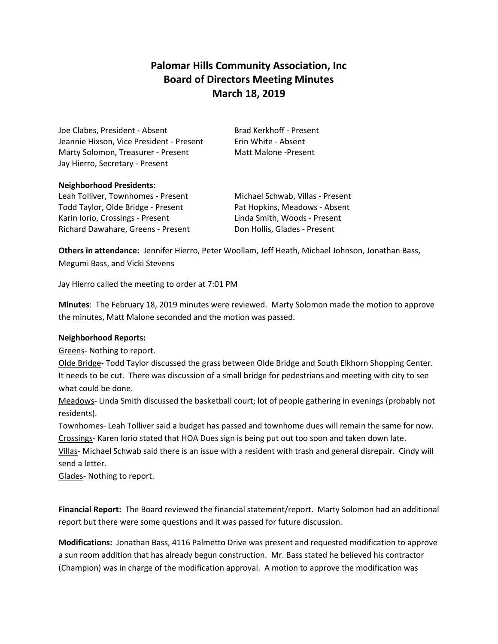# **Palomar Hills Community Association, Inc Board of Directors Meeting Minutes March 18, 2019**

Joe Clabes, President - Absent Brad Kerkhoff - Present Jeannie Hixson, Vice President - Present Frin White - Absent Marty Solomon, Treasurer - Present Matt Malone -Present Jay Hierro, Secretary - Present

## **Neighborhood Presidents:**

Leah Tolliver, Townhomes - Present Michael Schwab, Villas - Present Todd Taylor, Olde Bridge - Present Pat Hopkins, Meadows - Absent Karin Iorio, Crossings - Present Linda Smith, Woods - Present Richard Dawahare, Greens - Present Don Hollis, Glades - Present

**Others in attendance:** Jennifer Hierro, Peter Woollam, Jeff Heath, Michael Johnson, Jonathan Bass, Megumi Bass, and Vicki Stevens

Jay Hierro called the meeting to order at 7:01 PM

**Minutes**: The February 18, 2019 minutes were reviewed. Marty Solomon made the motion to approve the minutes, Matt Malone seconded and the motion was passed.

## **Neighborhood Reports:**

Greens- Nothing to report.

Olde Bridge- Todd Taylor discussed the grass between Olde Bridge and South Elkhorn Shopping Center. It needs to be cut. There was discussion of a small bridge for pedestrians and meeting with city to see what could be done.

Meadows- Linda Smith discussed the basketball court; lot of people gathering in evenings (probably not residents).

Townhomes- Leah Tolliver said a budget has passed and townhome dues will remain the same for now. Crossings- Karen Iorio stated that HOA Dues sign is being put out too soon and taken down late.

Villas- Michael Schwab said there is an issue with a resident with trash and general disrepair. Cindy will send a letter.

Glades- Nothing to report.

**Financial Report:** The Board reviewed the financial statement/report. Marty Solomon had an additional report but there were some questions and it was passed for future discussion.

**Modifications:** Jonathan Bass, 4116 Palmetto Drive was present and requested modification to approve a sun room addition that has already begun construction. Mr. Bass stated he believed his contractor (Champion) was in charge of the modification approval. A motion to approve the modification was